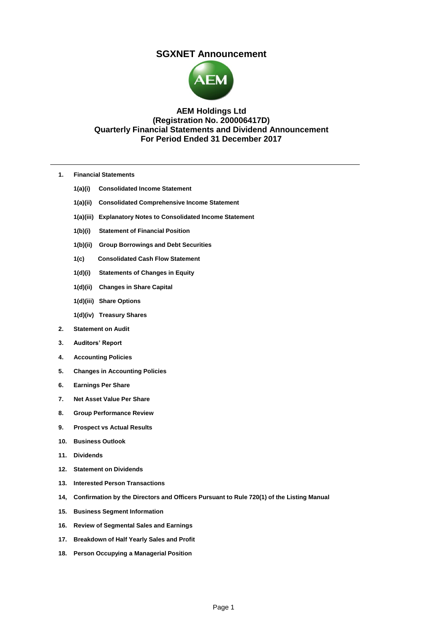# **SGXNET Announcement**



# **AEM Holdings Ltd (Registration No. 200006417D) Quarterly Financial Statements and Dividend Announcement For Period Ended 31 December 2017**

- **1. Financial Statements**
	- **1(a)(i) Consolidated Income Statement**
	- **1(a)(ii) Consolidated Comprehensive Income Statement**
	- **1(a)(iii) Explanatory Notes to Consolidated Income Statement**
	- **1(b)(i) Statement of Financial Position**
	- **1(b)(ii) Group Borrowings and Debt Securities**
	- **1(c) Consolidated Cash Flow Statement**
	- **1(d)(i) Statements of Changes in Equity**
	- **1(d)(ii) Changes in Share Capital**
	- **1(d)(iii) Share Options**
	- **1(d)(iv) Treasury Shares**
- **2. Statement on Audit**
- **3. Auditors' Report**
- **4. Accounting Policies**
- **5. Changes in Accounting Policies**
- **6. Earnings Per Share**
- **7. Net Asset Value Per Share**
- **8. Group Performance Review**
- **9. Prospect vs Actual Results**
- **10. Business Outlook**
- **11. Dividends**
- **12. Statement on Dividends**
- **13. Interested Person Transactions**
- **14, Confirmation by the Directors and Officers Pursuant to Rule 720(1) of the Listing Manual**
- **15. Business Segment Information**
- **16. Review of Segmental Sales and Earnings**
- **17. Breakdown of Half Yearly Sales and Profit**
- **18. Person Occupying a Managerial Position**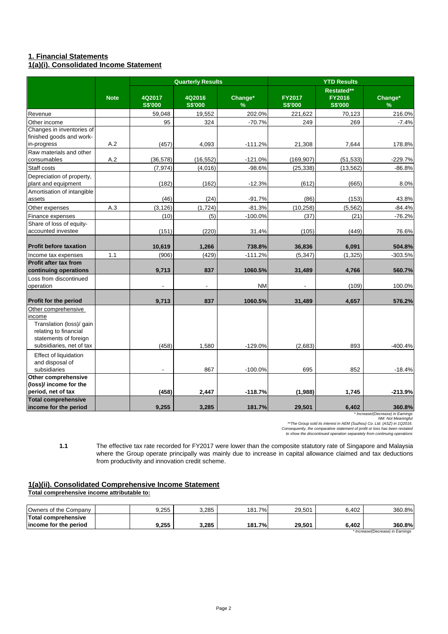# **1. Financial Statements**

# **1(a)(i). Consolidated Income Statement**

|                                                                                                                                         |             | <b>Quarterly Results</b> |                          |                          | <b>YTD Results</b>              |                                               |                          |  |
|-----------------------------------------------------------------------------------------------------------------------------------------|-------------|--------------------------|--------------------------|--------------------------|---------------------------------|-----------------------------------------------|--------------------------|--|
|                                                                                                                                         | <b>Note</b> | 4Q2017<br><b>S\$'000</b> | 4Q2016<br><b>S\$'000</b> | Change*<br>$\frac{9}{6}$ | <b>FY2017</b><br><b>S\$'000</b> | Restated**<br><b>FY2016</b><br><b>S\$'000</b> | Change*<br>$\frac{9}{6}$ |  |
| Revenue                                                                                                                                 |             | 59,048                   | 19,552                   | 202.0%                   | 221,622                         | 70,123                                        | 216.0%                   |  |
| Other income                                                                                                                            |             | 95                       | 324                      | $-70.7%$                 | 249                             | 269                                           | $-7.4%$                  |  |
| Changes in inventories of<br>finished goods and work-<br>in-progress                                                                    | A.2         | (457)                    | 4,093                    | $-111.2%$                | 21,308                          | 7,644                                         | 178.8%                   |  |
| Raw materials and other<br>consumables                                                                                                  | A.2         | (36, 578)                | (16, 552)                | $-121.0%$                | (169, 907)                      | (51, 533)                                     | $-229.7%$                |  |
| Staff costs                                                                                                                             |             | (7, 974)                 | (4,016)                  | $-98.6%$                 | (25, 338)                       | (13, 562)                                     | $-86.8%$                 |  |
| Depreciation of property,<br>plant and equipment                                                                                        |             | (182)                    | (162)                    | $-12.3%$                 | (612)                           | (665)                                         | 8.0%                     |  |
| Amortisation of intangible<br>assets                                                                                                    |             | (46)                     | (24)                     | $-91.7%$                 | (86)                            | (153)                                         | 43.8%                    |  |
| Other expenses                                                                                                                          | A.3         | (3, 126)                 | (1, 724)                 | $-81.3%$                 | (10, 258)                       | (5, 562)                                      | $-84.4%$                 |  |
| Finance expenses                                                                                                                        |             | (10)                     | (5)                      | $-100.0%$                | (37)                            | (21)                                          | $-76.2%$                 |  |
| Share of loss of equity-<br>accounted investee                                                                                          |             | (151)                    | (220)                    | 31.4%                    | (105)                           | (449)                                         | 76.6%                    |  |
| <b>Profit before taxation</b>                                                                                                           |             | 10,619                   | 1,266                    | 738.8%                   | 36,836                          | 6,091                                         | 504.8%                   |  |
| Income tax expenses                                                                                                                     | 1.1         | (906)                    | (429)                    | $-111.2%$                | (5, 347)                        | (1, 325)                                      | $-303.5%$                |  |
| <b>Profit after tax from</b><br>continuing operations                                                                                   |             | 9,713                    | 837                      | 1060.5%                  | 31,489                          | 4,766                                         | 560.7%                   |  |
| Loss from discontinued<br>operation                                                                                                     |             |                          |                          | <b>NM</b>                |                                 | (109)                                         | 100.0%                   |  |
| <b>Profit for the period</b>                                                                                                            |             | 9.713                    | 837                      | 1060.5%                  | 31,489                          | 4,657                                         | 576.2%                   |  |
| Other comprehensive<br>income<br>Translation (loss)/ gain<br>relating to financial<br>statements of foreign<br>subsidiaries, net of tax |             | (458)                    | 1,580                    | $-129.0%$                | (2,683)                         | 893                                           | $-400.4%$                |  |
| <b>Effect of liquidation</b><br>and disposal of<br>subsidiaries                                                                         |             | $\ddot{\phantom{a}}$     | 867                      | $-100.0%$                | 695                             | 852                                           | $-18.4%$                 |  |
| Other comprehensive<br>(loss)/ income for the<br>period, net of tax                                                                     |             | (458)                    | 2,447                    | $-118.7%$                | (1,988)                         | 1,745                                         | $-213.9%$                |  |
| <b>Total comprehensive</b><br>income for the period                                                                                     |             | 9,255                    | 3,285                    | 181.7%                   | 29,501                          | 6,402                                         | 360.8%                   |  |

"Increase/(Decrease) in Edmings<br>"The Group sold its interest in AEM (Suzhou) Co. Ltd. (ASZ) in 1Q2016.<br>"Onsequently, the comparative statement of profit or loss has been restated<br>"to show the discontinued operation separat

**1.1** The effective tax rate recorded for FY2017 were lower than the composite statutory rate of Singapore and Malaysia where the Group operate principally was mainly due to increase in capital allowance claimed and tax deductions from productivity and innovation credit scheme.

# **1(a)(ii). Consolidated Comprehensive Income Statement**

**Total comprehensive income attributable to:**

| Owners of the Company                 |  | 9.255 | 3.285 | 7%<br>181.7 | 29.501 | 6.402 | 360.8% |
|---------------------------------------|--|-------|-------|-------------|--------|-------|--------|
| Total comprehensive                   |  |       |       |             |        |       |        |
| lincome for the period                |  | 9.255 | 3.285 | 181.7%      | 29.501 | 6.402 | 360.8% |
| * In case of the contract in Frank as |  |       |       |             |        |       |        |

*\* Increase/(Decrease) in Earnings*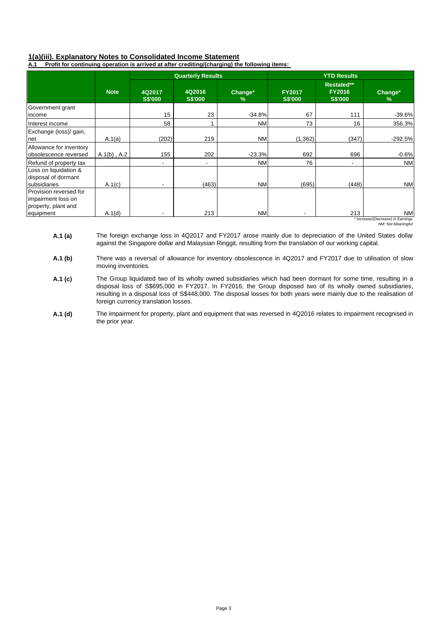# **1(a)(iii). Explanatory Notes to Consolidated Income Statement**

**A.1 Profit for continuing operation is arrived at after crediting/(charging) the following items:** 

|                                                                     |                  |                          | <b>Quarterly Results</b> |                 |                                 | <b>YTD Results</b>                            |                                         |
|---------------------------------------------------------------------|------------------|--------------------------|--------------------------|-----------------|---------------------------------|-----------------------------------------------|-----------------------------------------|
|                                                                     | <b>Note</b>      | 4Q2017<br><b>S\$'000</b> | 4Q2016<br><b>S\$'000</b> | Change*<br>$\%$ | <b>FY2017</b><br><b>S\$'000</b> | Restated**<br><b>FY2016</b><br><b>S\$'000</b> | Change*<br>$\%$                         |
| Government grant                                                    |                  |                          |                          |                 |                                 |                                               |                                         |
| income                                                              |                  | 15                       | 23                       | $-34.8%$        | 67                              | 111                                           | $-39.6%$                                |
| Interest income                                                     |                  | 58                       |                          | <b>NM</b>       | 73                              | 16                                            | 356.3%                                  |
| Exchange (loss)/ gain,<br>net                                       | A.1(a)           | (202)                    | 219                      | <b>NM</b>       | (1, 362)                        | (347)                                         | $-292.5%$                               |
| Allowance for inventory<br>obsolescence reversed                    | $A.1(b)$ , $A.2$ | 155                      | 202                      | $-23.3%$        | 692                             | 696                                           | $-0.6%$                                 |
| Refund of property tax                                              |                  | $\blacksquare$           |                          | <b>NM</b>       | 76                              |                                               | <b>NM</b>                               |
| Loss on liquidation &<br>disposal of dormant<br>subsidiaries        | A.1(c)           | $\overline{\phantom{a}}$ | (463)                    | <b>NM</b>       | (695)                           | (448)                                         | <b>NM</b>                               |
| Provision reversed for<br>impairment loss on<br>property, plant and |                  |                          |                          |                 |                                 |                                               |                                         |
| equipment                                                           | A.1(d)           | ٠                        | 213                      | <b>NM</b>       | $\overline{\phantom{a}}$        | 213                                           | NM<br>* Increase/(Decrease) in Farnings |

*\* Increase/(Decrease) in Earnings NM: Not Meaningful*

- **A.1 (a)**  The foreign exchange loss in 4Q2017 and FY2017 arose mainly due to depreciation of the United States dollar against the Singapore dollar and Malaysian Ringgit, resulting from the translation of our working capital.
- **A.1 (b)** There was a reversal of allowance for inventory obsolescence in 4Q2017 and FY2017 due to utilisation of slow moving inventories.
- **A.1 (c)**  The Group liquidated two of its wholly owned subsidiaries which had been dormant for some time, resulting in a disposal loss of S\$695,000 in FY2017. In FY2016, the Group disposed two of its wholly owned subsidiaries, resulting in a disposal loss of S\$448,000. The disposal losses for both years were mainly due to the realisation of foreign currency translation losses.
- **A.1 (d)**  The impairment for property, plant and equipment that was reversed in 4Q2016 relates to impairment recognised in the prior year.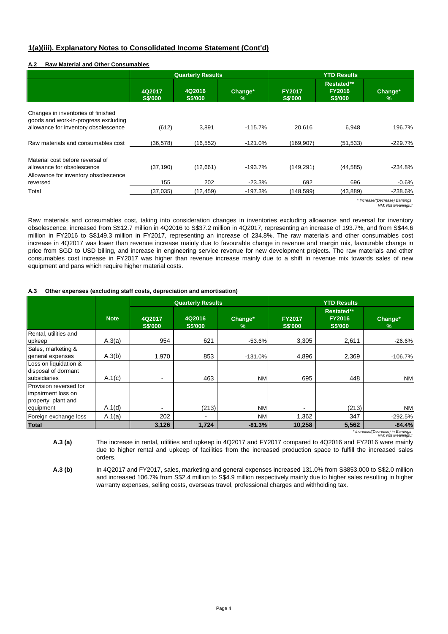## **1(a)(iii). Explanatory Notes to Consolidated Income Statement (Cont'd)**

### **A.2 Raw Material and Other Consumables**

|                                                                                                                    |                          | <b>Quarterly Results</b> |                 | <b>YTD Results</b>              |                                               |                 |  |
|--------------------------------------------------------------------------------------------------------------------|--------------------------|--------------------------|-----------------|---------------------------------|-----------------------------------------------|-----------------|--|
|                                                                                                                    | 4Q2017<br><b>S\$'000</b> | 4Q2016<br><b>S\$'000</b> | Change*<br>$\%$ | <b>FY2017</b><br><b>S\$'000</b> | Restated**<br><b>FY2016</b><br><b>S\$'000</b> | Change*<br>$\%$ |  |
| Changes in inventories of finished<br>goods and work-in-progress excluding<br>allowance for inventory obsolescence | (612)                    | 3,891                    | $-115.7%$       | 20.616                          | 6,948                                         | 196.7%          |  |
| Raw materials and consumables cost                                                                                 | (36.578)                 | (16, 552)                | $-121.0%$       | (169, 907)                      | (51, 533)                                     | $-229.7%$       |  |
| Material cost before reversal of<br>allowance for obsolescence<br>Allowance for inventory obsolescence             | (37, 190)                | (12,661)                 | $-193.7%$       | (149, 291)                      | (44, 585)                                     | $-234.8%$       |  |
| reversed                                                                                                           | 155                      | 202                      | $-23.3%$        | 692                             | 696                                           | $-0.6\%$        |  |
| Total                                                                                                              | (37,035)                 | (12, 459)                | $-197.3%$       | (148,599)                       | (43,889)                                      | $-238.6%$       |  |

*\* Increase/(Decrease) Earnings NM: Not Meaningful*

Raw materials and consumables cost, taking into consideration changes in inventories excluding allowance and reversal for inventory obsolescence, increased from S\$12.7 million in 4Q2016 to S\$37.2 million in 4Q2017, representing an increase of 193.7%, and from S\$44.6 million in FY2016 to S\$149.3 million in FY2017, representing an increase of 234.8%. The raw materials and other consumables cost increase in 4Q2017 was lower than revenue increase mainly due to favourable change in revenue and margin mix, favourable change in price from SGD to USD billing, and increase in engineering service revenue for new development projects. The raw materials and other consumables cost increase in FY2017 was higher than revenue increase mainly due to a shift in revenue mix towards sales of new equipment and pans which require higher material costs.

### **Other expenses (excluding staff costs, depreciation and amortisation)**

|                                                                     |             |                          | <b>Quarterly Results</b> |              | <b>YTD Results</b>              |                                               |                                              |
|---------------------------------------------------------------------|-------------|--------------------------|--------------------------|--------------|---------------------------------|-----------------------------------------------|----------------------------------------------|
|                                                                     | <b>Note</b> | 4Q2017<br><b>S\$'000</b> | 4Q2016<br><b>S\$'000</b> | Change*<br>% | <b>FY2017</b><br><b>S\$'000</b> | Restated**<br><b>FY2016</b><br><b>S\$'000</b> | Change*<br>%                                 |
| Rental, utilities and<br>upkeep                                     | A.3(a)      | 954                      | 621                      | $-53.6%$     | 3,305                           | 2,611                                         | $-26.6%$                                     |
| Sales, marketing &<br>general expenses                              | A.3(b)      | 1,970                    | 853                      | $-131.0%$    | 4,896                           | 2,369                                         | $-106.7%$                                    |
| Loss on liquidation &<br>disposal of dormant<br>subsidiaries        | A.1(c)      | $\blacksquare$           | 463                      | <b>NM</b>    | 695                             | 448                                           | NM                                           |
| Provision reversed for<br>impairment loss on<br>property, plant and |             |                          |                          |              |                                 |                                               |                                              |
| equipment                                                           | A.1(d)      | -                        | (213)                    | <b>NM</b>    | $\overline{\phantom{0}}$        | (213)                                         | <b>NM</b>                                    |
| Foreign exchange loss                                               | A.1(a)      | 202                      |                          | <b>NM</b>    | 1,362                           | 347                                           | $-292.5%$                                    |
| <b>Total</b>                                                        |             | 3,126                    | 1,724                    | $-81.3%$     | 10,258                          | 5,562                                         | $-84.4%$<br>* Ingrapon/(Dogmana) in Earnings |

*\* Increase/(Decrease) in Earnings NM: Not Meaningful*

**A.3 (a)**  The increase in rental, utilities and upkeep in 4Q2017 and FY2017 compared to 4Q2016 and FY2016 were mainly due to higher rental and upkeep of facilities from the increased production space to fulfill the increased sales orders.

**A.3 (b)** In 4Q2017 and FY2017, sales, marketing and general expenses increased 131.0% from S\$853,000 to S\$2.0 million and increased 106.7% from S\$2.4 million to S\$4.9 million respectively mainly due to higher sales resulting in higher warranty expenses, selling costs, overseas travel, professional charges and withholding tax.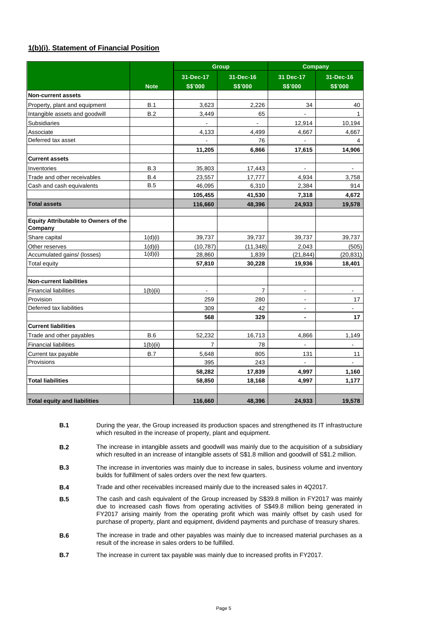# **1(b)(i). Statement of Financial Position**

|                                                        |             |                | <b>Group</b>   | <b>Company</b>           |                          |  |
|--------------------------------------------------------|-------------|----------------|----------------|--------------------------|--------------------------|--|
|                                                        |             | 31-Dec-17      | 31-Dec-16      | 31 Dec-17                | 31-Dec-16                |  |
|                                                        | <b>Note</b> | <b>S\$'000</b> | <b>S\$'000</b> | <b>S\$'000</b>           | <b>S\$'000</b>           |  |
| <b>Non-current assets</b>                              |             |                |                |                          |                          |  |
| Property, plant and equipment                          | <b>B.1</b>  | 3,623          | 2,226          | 34                       | 40                       |  |
| Intangible assets and goodwill                         | B.2         | 3,449          | 65             |                          | $\mathbf{1}$             |  |
| <b>Subsidiaries</b>                                    |             | ÷,             |                | 12,914                   | 10,194                   |  |
| Associate                                              |             | 4,133          | 4.499          | 4,667                    | 4,667                    |  |
| Deferred tax asset                                     |             |                | 76             |                          | 4                        |  |
|                                                        |             | 11,205         | 6,866          | 17,615                   | 14,906                   |  |
| <b>Current assets</b>                                  |             |                |                |                          |                          |  |
| Inventories                                            | <b>B.3</b>  | 35,803         | 17,443         |                          | $\overline{\phantom{a}}$ |  |
| Trade and other receivables                            | B.4         | 23,557         | 17,777         | 4,934                    | 3,758                    |  |
| Cash and cash equivalents                              | <b>B.5</b>  | 46,095         | 6,310          | 2,384                    | 914                      |  |
|                                                        |             | 105,455        | 41,530         | 7,318                    | 4,672                    |  |
| <b>Total assets</b>                                    |             | 116,660        | 48,396         | 24,933                   | 19,578                   |  |
|                                                        |             |                |                |                          |                          |  |
| <b>Equity Attributable to Owners of the</b><br>Company |             |                |                |                          |                          |  |
| Share capital                                          | 1(d)(i)     | 39,737         | 39,737         | 39,737                   | 39,737                   |  |
| Other reserves                                         | 1(d)(i)     | (10, 787)      | (11, 348)      | 2,043                    | (505)                    |  |
| Accumulated gains/ (losses)                            | 1(d)(i)     | 28,860         | 1,839          | (21, 844)                | (20, 831)                |  |
| Total equity                                           |             | 57,810         | 30,228         | 19,936                   | 18,401                   |  |
| <b>Non-current liabilities</b>                         |             |                |                |                          |                          |  |
|                                                        |             |                | 7              |                          |                          |  |
| <b>Financial liabilities</b><br>Provision              | 1(b)(ii)    | 259            | 280            |                          | 17                       |  |
| Deferred tax liabilities                               |             | 309            | 42             | $\blacksquare$           | $\overline{a}$           |  |
|                                                        |             | 568            | 329            | $\blacksquare$           | 17                       |  |
| <b>Current liabilities</b>                             |             |                |                |                          |                          |  |
| Trade and other payables                               | <b>B.6</b>  | 52,232         | 16.713         | 4,866                    | 1,149                    |  |
| <b>Financial liabilities</b>                           | 1(b)(ii)    | $\overline{7}$ | 78             | $\overline{\phantom{a}}$ | $\blacksquare$           |  |
| Current tax payable                                    | <b>B.7</b>  | 5,648          | 805            | 131                      | 11                       |  |
| Provisions                                             |             | 395            | 243            |                          |                          |  |
|                                                        |             | 58,282         | 17,839         | 4,997                    | 1,160                    |  |
| <b>Total liabilities</b>                               |             | 58,850         | 18,168         | 4,997                    | 1,177                    |  |
|                                                        |             |                |                |                          |                          |  |
| <b>Total equity and liabilities</b>                    |             | 116,660        | 48,396         | 24,933                   | 19,578                   |  |

**B.1** During the year, the Group increased its production spaces and strengthened its IT infrastructure which resulted in the increase of property, plant and equipment.

**B.2** The increase in intangible assets and goodwill was mainly due to the acquisition of a subsidiary which resulted in an increase of intangible assets of S\$1.8 million and goodwill of S\$1.2 million.

- **B.3** The increase in inventories was mainly due to increase in sales, business volume and inventory builds for fulfillment of sales orders over the next few quarters.
- **B.4** Trade and other receivables increased mainly due to the increased sales in 4Q2017.
- **B.5**  The cash and cash equivalent of the Group increased by S\$39.8 million in FY2017 was mainly due to increased cash flows from operating activities of S\$49.8 million being generated in FY2017 arising mainly from the operating profit which was mainly offset by cash used for purchase of property, plant and equipment, dividend payments and purchase of treasury shares.
- **B.6** The increase in trade and other payables was mainly due to increased material purchases as a result of the increase in sales orders to be fulfilled.
- **B.7** The increase in current tax payable was mainly due to increased profits in FY2017.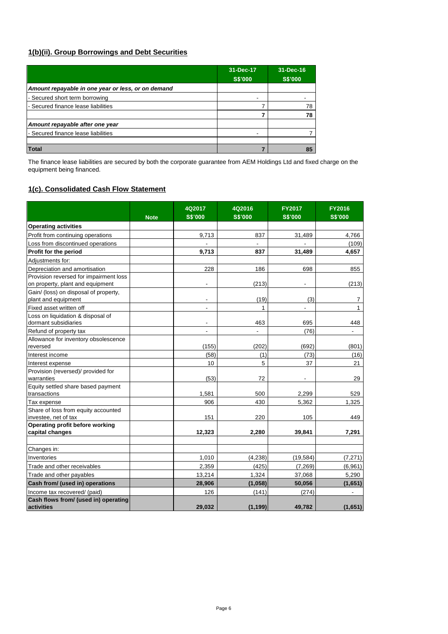# **1(b)(ii). Group Borrowings and Debt Securities**

|                                                    | 31-Dec-17<br><b>S\$'000</b> | 31-Dec-16<br><b>S\$'000</b> |
|----------------------------------------------------|-----------------------------|-----------------------------|
| Amount repayable in one year or less, or on demand |                             |                             |
| - Secured short term borrowing                     |                             |                             |
| - Secured finance lease liabilities                |                             | 78                          |
|                                                    |                             | 78                          |
| Amount repayable after one year                    |                             |                             |
| - Secured finance lease liabilities                |                             |                             |
|                                                    |                             |                             |
| Total                                              |                             | 85                          |

The finance lease liabilities are secured by both the corporate guarantee from AEM Holdings Ltd and fixed charge on the equipment being financed.

# **1(c). Consolidated Cash Flow Statement**

|                                                  |             | 4Q2017                   | 4Q2016         | <b>FY2017</b>            | <b>FY2016</b>  |
|--------------------------------------------------|-------------|--------------------------|----------------|--------------------------|----------------|
|                                                  | <b>Note</b> | <b>S\$'000</b>           | <b>S\$'000</b> | <b>S\$'000</b>           | <b>S\$'000</b> |
| <b>Operating activities</b>                      |             |                          |                |                          |                |
| Profit from continuing operations                |             | 9,713                    | 837            | 31,489                   | 4,766          |
| Loss from discontinued operations                |             |                          |                |                          | (109)          |
| Profit for the period                            |             | 9,713                    | 837            | 31,489                   | 4,657          |
| Adjustments for:                                 |             |                          |                |                          |                |
| Depreciation and amortisation                    |             | 228                      | 186            | 698                      | 855            |
| Provision reversed for impairment loss           |             |                          |                |                          |                |
| on property, plant and equipment                 |             |                          | (213)          | $\overline{\phantom{a}}$ | (213)          |
| Gain/ (loss) on disposal of property,            |             |                          |                |                          |                |
| plant and equipment                              |             | $\overline{\phantom{a}}$ | (19)           | (3)                      | 7              |
| Fixed asset written off                          |             | ÷,                       | 1              |                          | $\mathbf{1}$   |
| Loss on liquidation & disposal of                |             |                          |                |                          |                |
| dormant subsidiaries                             |             | $\overline{\phantom{a}}$ | 463            | 695                      | 448            |
| Refund of property tax                           |             | ٠                        | ٠              | (76)                     | $\blacksquare$ |
| Allowance for inventory obsolescence             |             |                          |                |                          |                |
| reversed                                         |             | (155)                    | (202)          | (692)                    | (801)          |
| Interest income                                  |             | (58)                     | (1)            | (73)                     | (16)           |
| Interest expense                                 |             | 10                       | 5              | 37                       | 21             |
| Provision (reversed)/ provided for<br>warranties |             | (53)                     | 72             |                          | 29             |
| Equity settled share based payment               |             |                          |                |                          |                |
| transactions                                     |             | 1,581                    | 500            | 2,299                    | 529            |
| Tax expense                                      |             | 906                      | 430            | 5,362                    | 1,325          |
| Share of loss from equity accounted              |             |                          |                |                          |                |
| investee, net of tax                             |             | 151                      | 220            | 105                      | 449            |
| Operating profit before working                  |             |                          |                |                          |                |
| capital changes                                  |             | 12,323                   | 2,280          | 39,841                   | 7,291          |
|                                                  |             |                          |                |                          |                |
| Changes in:                                      |             |                          |                |                          |                |
| Inventories                                      |             | 1,010                    | (4, 238)       | (19, 584)                | (7, 271)       |
| Trade and other receivables                      |             | 2,359                    | (425)          | (7, 269)                 | (6,961)        |
| Trade and other payables                         |             | 13,214                   | 1.324          | 37,068                   | 5,290          |
| Cash from/ (used in) operations                  |             | 28,906                   | (1,058)        | 50,056                   | (1,651)        |
| Income tax recovered/ (paid)                     |             | 126                      | (141)          | (274)                    |                |
| Cash flows from/ (used in) operating             |             |                          |                |                          |                |
| activities                                       |             | 29,032                   | (1, 199)       | 49,782                   | (1,651)        |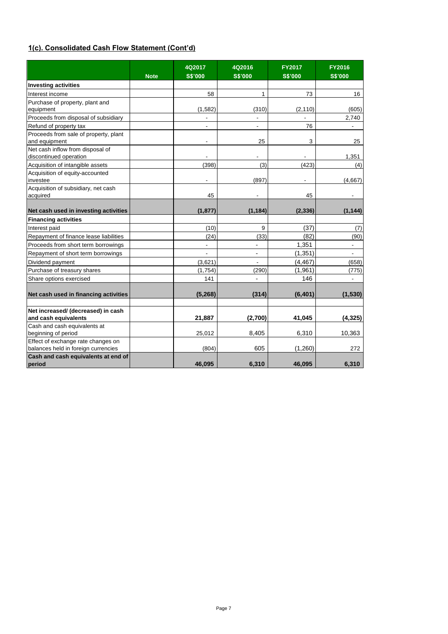# **1(c). Consolidated Cash Flow Statement (Cont'd)**

|                                                                           | <b>Note</b> | 4Q2017<br><b>S\$'000</b> | 4Q2016<br><b>S\$'000</b>     | <b>FY2017</b><br><b>S\$'000</b> | <b>FY2016</b><br><b>S\$'000</b> |
|---------------------------------------------------------------------------|-------------|--------------------------|------------------------------|---------------------------------|---------------------------------|
| <b>Investing activities</b>                                               |             |                          |                              |                                 |                                 |
| Interest income                                                           |             | 58                       | 1                            | 73                              | 16                              |
| Purchase of property, plant and                                           |             |                          |                              |                                 |                                 |
| equipment                                                                 |             | (1, 582)                 | (310)                        | (2, 110)                        | (605)                           |
| Proceeds from disposal of subsidiary                                      |             |                          | $\frac{1}{2}$                |                                 | 2.740                           |
| Refund of property tax                                                    |             | $\blacksquare$           | ÷,                           | 76                              |                                 |
| Proceeds from sale of property, plant<br>and equipment                    |             | $\overline{\phantom{0}}$ | 25                           | 3                               | 25                              |
| Net cash inflow from disposal of<br>discontinued operation                |             |                          | $\qquad \qquad \blacksquare$ |                                 | 1,351                           |
| Acquisition of intangible assets                                          |             | (398)                    | (3)                          | (423)                           | (4)                             |
| Acquisition of equity-accounted                                           |             |                          |                              |                                 |                                 |
| investee                                                                  |             | ÷,                       | (897)                        |                                 | (4,667)                         |
| Acquisition of subsidiary, net cash                                       |             |                          |                              |                                 |                                 |
| acquired                                                                  |             | 45                       |                              | 45                              |                                 |
| Net cash used in investing activities                                     |             | (1, 877)                 | (1, 184)                     | (2, 336)                        | (1, 144)                        |
| <b>Financing activities</b>                                               |             |                          |                              |                                 |                                 |
| Interest paid                                                             |             | (10)                     | 9                            | (37)                            | (7)                             |
| Repayment of finance lease liabilities                                    |             | (24)                     | (33)                         | (82)                            | (90)                            |
| Proceeds from short term borrowings                                       |             | $\overline{a}$           | $\overline{\phantom{a}}$     | 1,351                           | $\blacksquare$                  |
| Repayment of short term borrowings                                        |             |                          |                              | (1, 351)                        |                                 |
| Dividend payment                                                          |             | (3,621)                  |                              | (4, 467)                        | (658)                           |
| Purchase of treasury shares                                               |             | (1, 754)                 | (290)                        | (1,961)                         | (775)                           |
| Share options exercised                                                   |             | 141                      |                              | 146                             |                                 |
| Net cash used in financing activities                                     |             | (5, 268)                 | (314)                        | (6, 401)                        | (1,530)                         |
|                                                                           |             |                          |                              |                                 |                                 |
| Net increased/ (decreased) in cash                                        |             |                          |                              |                                 |                                 |
| and cash equivalents                                                      |             | 21,887                   | (2,700)                      | 41,045                          | (4, 325)                        |
| Cash and cash equivalents at                                              |             |                          |                              |                                 |                                 |
| beginning of period                                                       |             | 25,012                   | 8,405                        | 6,310                           | 10,363                          |
| Effect of exchange rate changes on<br>balances held in foreign currencies |             | (804)                    | 605                          | (1,260)                         | 272                             |
| Cash and cash equivalents at end of<br>period                             |             | 46,095                   | 6,310                        | 46,095                          | 6,310                           |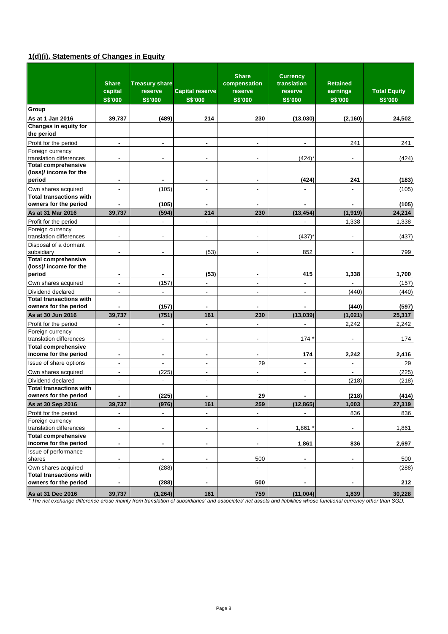# **1(d)(i). Statements of Changes in Equity**

|                                                         | <b>Share</b><br>capital<br><b>S\$'000</b> | <b>Treasury share</b><br>reserve<br><b>S\$'000</b> | <b>Capital reserve</b><br><b>S\$'000</b> | <b>Share</b><br>compensation<br>reserve<br><b>S\$'000</b> | <b>Currency</b><br>translation<br>reserve<br><b>S\$'000</b> | <b>Retained</b><br>earnings<br><b>S\$'000</b> | <b>Total Equity</b><br><b>S\$'000</b> |
|---------------------------------------------------------|-------------------------------------------|----------------------------------------------------|------------------------------------------|-----------------------------------------------------------|-------------------------------------------------------------|-----------------------------------------------|---------------------------------------|
| Group                                                   |                                           |                                                    |                                          |                                                           |                                                             |                                               |                                       |
| As at 1 Jan 2016                                        | 39,737                                    | (489)                                              | 214                                      | 230                                                       | (13,030)                                                    | (2, 160)                                      | 24,502                                |
| Changes in equity for                                   |                                           |                                                    |                                          |                                                           |                                                             |                                               |                                       |
| the period                                              |                                           |                                                    |                                          |                                                           |                                                             |                                               |                                       |
| Profit for the period                                   | $\blacksquare$                            | $\overline{\phantom{a}}$                           | ٠                                        | ٠                                                         | $\overline{\phantom{a}}$                                    | 241                                           | 241                                   |
| Foreign currency                                        |                                           |                                                    |                                          |                                                           |                                                             |                                               |                                       |
| translation differences                                 | $\overline{\phantom{a}}$                  | $\overline{\phantom{a}}$                           | $\overline{\phantom{a}}$                 | $\overline{a}$                                            | $(424)^{*}$                                                 | $\overline{\phantom{a}}$                      | (424)                                 |
| <b>Total comprehensive</b><br>(loss)/ income for the    |                                           |                                                    |                                          |                                                           |                                                             |                                               |                                       |
| period                                                  | $\blacksquare$                            |                                                    |                                          | ۰                                                         | (424)                                                       | 241                                           | (183)                                 |
|                                                         | $\overline{a}$                            |                                                    |                                          |                                                           |                                                             |                                               |                                       |
| Own shares acquired<br><b>Total transactions with</b>   |                                           | (105)                                              | $\blacksquare$                           | $\overline{\phantom{a}}$                                  |                                                             | $\blacksquare$                                | (105)                                 |
| owners for the period                                   | $\blacksquare$                            | (105)                                              | $\blacksquare$                           | ٠                                                         |                                                             |                                               | (105)                                 |
| As at 31 Mar 2016                                       | 39,737                                    | (594)                                              | 214                                      | 230                                                       | (13, 454)                                                   | (1, 919)                                      | 24,214                                |
| Profit for the period                                   | ä,                                        | ä,                                                 | $\overline{a}$                           | $\overline{a}$                                            | ä,                                                          |                                               |                                       |
| Foreign currency                                        |                                           |                                                    |                                          |                                                           |                                                             | 1,338                                         | 1,338                                 |
| translation differences                                 | $\blacksquare$                            | $\overline{\phantom{a}}$                           | ÷,                                       | ÷,                                                        | (437)                                                       |                                               | (437)                                 |
| Disposal of a dormant                                   |                                           |                                                    |                                          |                                                           |                                                             |                                               |                                       |
| subsidiary                                              | $\blacksquare$                            |                                                    | (53)                                     |                                                           | 852                                                         |                                               | 799                                   |
| Total comprehensive                                     |                                           |                                                    |                                          |                                                           |                                                             |                                               |                                       |
| (loss)/ income for the                                  |                                           |                                                    |                                          |                                                           |                                                             |                                               |                                       |
| period                                                  | $\blacksquare$                            | $\blacksquare$                                     | (53)                                     | ۰                                                         | 415                                                         | 1,338                                         | 1,700                                 |
| Own shares acquired                                     | $\overline{a}$                            | (157)                                              | ä,                                       | ÷,                                                        |                                                             |                                               | (157)                                 |
| Dividend declared                                       | $\overline{\phantom{a}}$                  | $\blacksquare$                                     | ä,                                       | $\overline{a}$                                            | ä,                                                          | (440)                                         | (440)                                 |
| <b>Total transactions with</b>                          |                                           |                                                    |                                          |                                                           |                                                             |                                               |                                       |
| owners for the period                                   |                                           | (157)                                              |                                          |                                                           |                                                             | (440)                                         | (597)                                 |
| As at 30 Jun 2016                                       | 39,737                                    | (751)                                              | 161                                      | 230                                                       | (13, 039)                                                   | (1,021)                                       | 25,317                                |
| Profit for the period                                   | $\overline{\phantom{a}}$                  | $\blacksquare$                                     | $\overline{\phantom{0}}$                 | ٠                                                         | ÷,                                                          | 2,242                                         | 2,242                                 |
| Foreign currency                                        |                                           |                                                    |                                          |                                                           |                                                             |                                               |                                       |
| translation differences                                 | $\overline{\phantom{a}}$                  | ٠                                                  | ۰                                        | ٠                                                         | 174                                                         |                                               | 174                                   |
| <b>Total comprehensive</b><br>income for the period     | $\blacksquare$                            | $\blacksquare$                                     | $\blacksquare$                           | ۰                                                         | 174                                                         | 2,242                                         | 2,416                                 |
| Issue of share options                                  | $\blacksquare$                            | $\blacksquare$                                     | $\blacksquare$                           | 29                                                        | $\blacksquare$                                              |                                               | 29                                    |
| Own shares acquired                                     | $\blacksquare$                            | (225)                                              | ä,                                       | $\overline{a}$                                            | $\overline{a}$                                              | $\overline{\phantom{a}}$                      | (225)                                 |
| Dividend declared                                       | $\blacksquare$                            | $\blacksquare$                                     | ä,                                       | $\overline{a}$                                            | $\overline{\phantom{a}}$                                    | (218)                                         | (218)                                 |
| <b>Total transactions with</b>                          |                                           |                                                    |                                          |                                                           |                                                             |                                               |                                       |
| owners for the period                                   | $\blacksquare$                            | (225)                                              |                                          | 29                                                        |                                                             | (218)                                         | (414)                                 |
| As at 30 Sep 2016                                       | 39,737                                    | (976)                                              | 161                                      | 259                                                       | (12, 865)                                                   | 1,003                                         | 27,319                                |
| Profit for the period                                   |                                           | $\overline{\phantom{a}}$                           | $\overline{a}$                           | $\overline{a}$                                            |                                                             | 836                                           | 836                                   |
| Foreign currency                                        |                                           |                                                    |                                          |                                                           |                                                             |                                               |                                       |
| translation differences                                 | $\overline{\phantom{a}}$                  | $\overline{\phantom{a}}$                           | $\overline{\phantom{0}}$                 | ٠                                                         | 1,861                                                       |                                               | 1,861                                 |
| <b>Total comprehensive</b>                              |                                           |                                                    |                                          |                                                           |                                                             |                                               |                                       |
| income for the period                                   | $\blacksquare$                            | $\blacksquare$                                     | ٠                                        | $\blacksquare$                                            | 1,861                                                       | 836                                           | 2,697                                 |
| Issue of performance                                    |                                           |                                                    |                                          |                                                           |                                                             |                                               |                                       |
| shares                                                  | ٠                                         | $\blacksquare$                                     | $\blacksquare$                           | 500                                                       | ٠                                                           | ٠                                             | 500                                   |
| Own shares acquired                                     | $\overline{\phantom{a}}$                  | (288)                                              | L.                                       | $\overline{a}$                                            | $\overline{a}$                                              | $\blacksquare$                                | (288)                                 |
| <b>Total transactions with</b><br>owners for the period | $\qquad \qquad \blacksquare$              | (288)                                              |                                          | 500                                                       |                                                             |                                               | 212                                   |
|                                                         |                                           |                                                    |                                          |                                                           |                                                             |                                               |                                       |
| As at 31 Dec 2016                                       | 39,737                                    | (1, 264)                                           | 161                                      | 759                                                       | (11,004)                                                    | 1,839                                         | 30,228                                |

*\* The net exchange difference arose mainly from translation of subsidiaries' and associates' net assets and liabilities whose functional currency other than SGD.*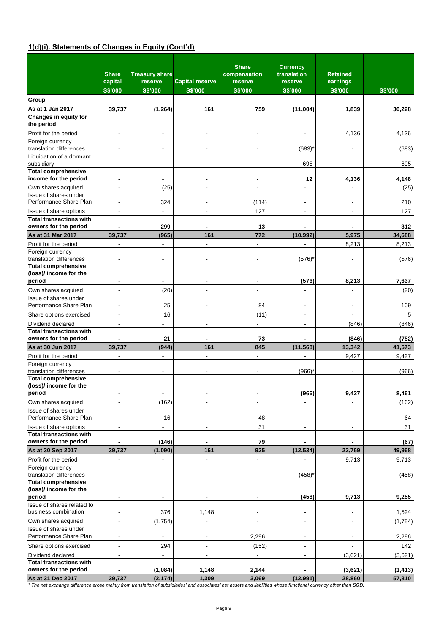# **1(d)(i). Statements of Changes in Equity (Cont'd)**

|                                                         | <b>Share</b><br>capital<br><b>S\$'000</b> | <b>Treasury share</b><br>reserve<br><b>S\$'000</b> | <b>Capital reserve</b><br><b>S\$'000</b> | <b>Share</b><br>compensation<br>reserve<br><b>S\$'000</b> | <b>Currency</b><br>translation<br>reserve<br><b>S\$'000</b> | <b>Retained</b><br>earnings<br><b>S\$'000</b> | <b>S\$'000</b>     |
|---------------------------------------------------------|-------------------------------------------|----------------------------------------------------|------------------------------------------|-----------------------------------------------------------|-------------------------------------------------------------|-----------------------------------------------|--------------------|
| Group                                                   |                                           |                                                    |                                          |                                                           |                                                             |                                               |                    |
| As at 1 Jan 2017                                        | 39,737                                    | (1, 264)                                           | 161                                      | 759                                                       | (11,004)                                                    | 1,839                                         | 30,228             |
| Changes in equity for                                   |                                           |                                                    |                                          |                                                           |                                                             |                                               |                    |
| the period                                              |                                           |                                                    |                                          |                                                           |                                                             |                                               |                    |
| Profit for the period                                   | $\overline{\phantom{a}}$                  | $\overline{\phantom{a}}$                           | $\overline{\phantom{a}}$                 | $\blacksquare$                                            | $\overline{\phantom{a}}$                                    | 4,136                                         | 4,136              |
| Foreign currency<br>translation differences             |                                           |                                                    |                                          |                                                           | (683)                                                       |                                               | (683)              |
| Liquidation of a dormant<br>subsidiary                  | $\blacksquare$                            |                                                    |                                          |                                                           | 695                                                         |                                               | 695                |
| <b>Total comprehensive</b>                              |                                           |                                                    |                                          |                                                           |                                                             |                                               |                    |
| income for the period                                   | $\blacksquare$                            | $\blacksquare$                                     | $\blacksquare$                           | $\blacksquare$                                            | 12                                                          | 4,136                                         | 4,148              |
| Own shares acquired<br>Issue of shares under            | $\overline{\phantom{a}}$                  | (25)                                               | $\blacksquare$                           | $\blacksquare$                                            | $\overline{\phantom{a}}$                                    |                                               | (25)               |
| Performance Share Plan                                  |                                           | 324                                                |                                          | (114)                                                     |                                                             |                                               | 210                |
| Issue of share options                                  | ÷,                                        |                                                    | $\blacksquare$                           | 127                                                       |                                                             |                                               | 127                |
| <b>Total transactions with</b>                          |                                           |                                                    |                                          |                                                           |                                                             |                                               |                    |
| owners for the period                                   |                                           | 299                                                |                                          | 13                                                        |                                                             |                                               | 312                |
| As at 31 Mar 2017                                       | 39,737                                    | (965)                                              | 161                                      | 772                                                       | (10, 992)                                                   | 5,975                                         | 34,688             |
| Profit for the period<br>Foreign currency               | $\blacksquare$                            | $\blacksquare$                                     | $\overline{\phantom{0}}$                 | $\qquad \qquad \blacksquare$                              | $\overline{\phantom{a}}$                                    | 8,213                                         | 8,213              |
| translation differences<br><b>Total comprehensive</b>   |                                           | $\blacksquare$                                     | ٠                                        | ٠                                                         | (576)                                                       |                                               | (576)              |
| (loss)/ income for the<br>period                        | $\blacksquare$                            |                                                    | $\blacksquare$                           | ٠                                                         | (576)                                                       | 8,213                                         | 7,637              |
| Own shares acquired                                     | $\blacksquare$                            | (20)                                               | $\overline{a}$                           | ٠                                                         | $\overline{\phantom{a}}$                                    |                                               | (20)               |
| Issue of shares under                                   |                                           |                                                    |                                          |                                                           |                                                             |                                               |                    |
| Performance Share Plan                                  | $\blacksquare$                            | 25                                                 | $\overline{\phantom{a}}$                 | 84                                                        | $\overline{\phantom{a}}$                                    | $\overline{\phantom{a}}$                      | 109                |
| Share options exercised                                 | $\blacksquare$                            | 16                                                 |                                          | (11)                                                      | $\overline{\phantom{a}}$                                    | $\overline{a}$                                | 5                  |
| Dividend declared                                       | $\overline{\phantom{a}}$                  |                                                    | $\blacksquare$                           | $\blacksquare$                                            | $\blacksquare$                                              | (846)                                         | (846)              |
| <b>Total transactions with</b><br>owners for the period |                                           | 21                                                 |                                          | 73                                                        |                                                             | (846)                                         | (752)              |
| As at 30 Jun 2017                                       | 39,737                                    | (944)                                              | 161                                      | 845                                                       | (11, 568)                                                   | 13,342                                        | 41,573             |
| Profit for the period                                   | $\blacksquare$                            | $\blacksquare$                                     | ÷.                                       | $\overline{a}$                                            |                                                             | 9,427                                         | 9,427              |
| Foreign currency                                        |                                           |                                                    |                                          |                                                           |                                                             |                                               |                    |
| translation differences<br><b>Total comprehensive</b>   |                                           |                                                    |                                          |                                                           | (966)                                                       |                                               | (966)              |
| (loss)/ income for the<br>period                        | $\blacksquare$                            |                                                    | $\blacksquare$                           | ٠                                                         | (966)                                                       | 9,427                                         | 8,461              |
| Own shares acquired                                     | $\overline{\phantom{a}}$                  | (162)                                              | $\blacksquare$                           | $\blacksquare$                                            |                                                             |                                               | (162)              |
| Issue of shares under                                   |                                           |                                                    |                                          |                                                           |                                                             |                                               |                    |
| Performance Share Plan                                  | $\overline{\phantom{a}}$                  | 16                                                 | $\overline{\phantom{a}}$                 | 48                                                        | $\overline{\phantom{a}}$                                    | $\overline{\phantom{a}}$                      | 64                 |
| Issue of share options                                  | $\overline{\phantom{a}}$                  | ٠                                                  | $\overline{\phantom{a}}$                 | 31                                                        | $\overline{\phantom{a}}$                                    | ۰                                             | 31                 |
| <b>Total transactions with</b><br>owners for the period |                                           | (146)                                              |                                          | 79                                                        |                                                             |                                               | (67)               |
| As at 30 Sep 2017                                       | 39,737                                    | (1,090)                                            | 161                                      | 925                                                       | (12, 534)                                                   | 22,769                                        | 49,968             |
| Profit for the period                                   |                                           | ÷,                                                 | $\overline{a}$                           | $\qquad \qquad \blacksquare$                              |                                                             | 9,713                                         | 9,713              |
| Foreign currency<br>translation differences             | $\overline{\phantom{a}}$                  |                                                    |                                          |                                                           | (458)                                                       |                                               | (458)              |
| <b>Total comprehensive</b>                              |                                           |                                                    |                                          |                                                           |                                                             |                                               |                    |
| (loss)/ income for the<br>period                        |                                           |                                                    |                                          |                                                           |                                                             |                                               |                    |
| Issue of shares related to                              | $\blacksquare$                            | $\blacksquare$                                     | $\blacksquare$                           | $\blacksquare$                                            | (458)                                                       | 9,713                                         | 9,255              |
| business combination                                    | $\overline{\phantom{a}}$                  | 376                                                | 1,148                                    | $\overline{\phantom{a}}$                                  | $\blacksquare$                                              |                                               | 1,524              |
| Own shares acquired                                     | $\blacksquare$                            | (1,754)                                            | $\frac{1}{2}$                            | $\overline{\phantom{a}}$                                  | $\overline{\phantom{a}}$                                    | $\blacksquare$                                | (1,754)            |
| Issue of shares under<br>Performance Share Plan         | $\overline{\phantom{a}}$                  |                                                    | $\blacksquare$                           | 2,296                                                     | $\blacksquare$                                              |                                               | 2,296              |
| Share options exercised                                 | $\blacksquare$                            | 294                                                | $\overline{\phantom{a}}$                 | (152)                                                     | $\blacksquare$                                              |                                               | 142                |
| Dividend declared                                       | $\blacksquare$                            | $\overline{\phantom{a}}$                           | $\overline{\phantom{a}}$                 | $\blacksquare$                                            | $\overline{\phantom{a}}$                                    | (3,621)                                       | (3,621)            |
| <b>Total transactions with</b>                          |                                           |                                                    |                                          |                                                           |                                                             |                                               |                    |
| owners for the period<br>As at 31 Dec 2017              | 39,737                                    | (1,084)<br>(2, 174)                                | 1,148<br>1,309                           | 2,144<br>3,069                                            | (12, 991)                                                   | (3,621)<br>28,860                             | (1, 413)<br>57,810 |
|                                                         |                                           |                                                    |                                          |                                                           |                                                             |                                               |                    |

*\* The net exchange difference arose mainly from translation of subsidiaries' and associates' net assets and liabilities whose functional currency other than SGD.*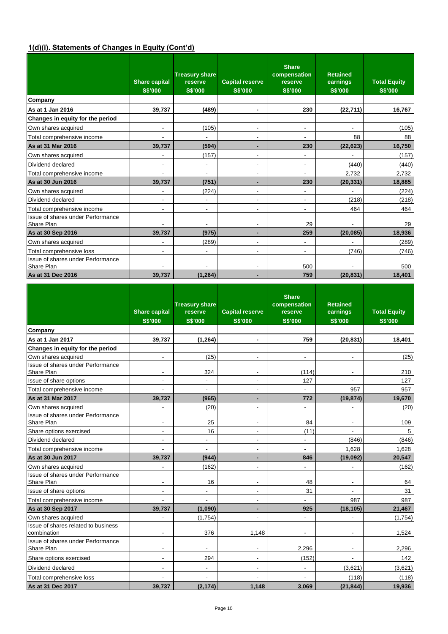# **1(d)(i). Statements of Changes in Equity (Cont'd)**

|                                                 | <b>Share capital</b><br><b>S\$'000</b> | <b>Treasury share</b><br>reserve<br><b>S\$'000</b> | <b>Capital reserve</b><br><b>S\$'000</b> | <b>Share</b><br>compensation<br>reserve<br><b>S\$'000</b> | <b>Retained</b><br>earnings<br><b>S\$'000</b> | <b>Total Equity</b><br>S\$'000 |
|-------------------------------------------------|----------------------------------------|----------------------------------------------------|------------------------------------------|-----------------------------------------------------------|-----------------------------------------------|--------------------------------|
| Company                                         |                                        |                                                    |                                          |                                                           |                                               |                                |
| As at 1 Jan 2016                                | 39,737                                 | (489)                                              | $\blacksquare$                           | 230                                                       | (22, 711)                                     | 16,767                         |
| Changes in equity for the period                |                                        |                                                    |                                          |                                                           |                                               |                                |
| Own shares acquired                             | $\overline{\phantom{a}}$               | (105)                                              | $\overline{a}$                           | $\overline{\phantom{0}}$                                  |                                               | (105)                          |
| Total comprehensive income                      |                                        |                                                    | ٠                                        | $\overline{\phantom{0}}$                                  | 88                                            | 88                             |
| As at 31 Mar 2016                               | 39,737                                 | (594)                                              | ۰                                        | 230                                                       | (22, 623)                                     | 16,750                         |
| Own shares acquired                             |                                        | (157)                                              | ٠                                        | ٠                                                         |                                               | (157)                          |
| Dividend declared                               | $\overline{\phantom{a}}$               | $\overline{\phantom{0}}$                           | $\overline{a}$                           | $\overline{\phantom{0}}$                                  | (440)                                         | (440)                          |
| Total comprehensive income                      |                                        | $\overline{\phantom{a}}$                           | $\overline{a}$                           | ٠                                                         | 2,732                                         | 2,732                          |
| As at 30 Jun 2016                               | 39,737                                 | (751)                                              | ٠                                        | 230                                                       | (20, 331)                                     | 18,885                         |
| Own shares acquired                             | $\blacksquare$                         | (224)                                              | ٠                                        | $\overline{\phantom{0}}$                                  |                                               | (224)                          |
| Dividend declared                               | $\blacksquare$                         | $\overline{\phantom{a}}$                           | $\overline{\phantom{a}}$                 | $\blacksquare$                                            | (218)                                         | (218)                          |
| Total comprehensive income                      | ۰                                      | -                                                  |                                          | $\blacksquare$                                            | 464                                           | 464                            |
| Issue of shares under Performance<br>Share Plan |                                        | $\blacksquare$                                     | ۰                                        | 29                                                        |                                               | 29                             |
| As at 30 Sep 2016                               | 39,737                                 | (975)                                              | ۰                                        | 259                                                       | (20, 085)                                     | 18,936                         |
| Own shares acquired                             |                                        | (289)                                              | -                                        | -                                                         |                                               | (289)                          |
| Total comprehensive loss                        | $\overline{\phantom{a}}$               | $\overline{\phantom{a}}$                           | $\overline{\phantom{a}}$                 | $\blacksquare$                                            | (746)                                         | (746)                          |
| Issue of shares under Performance<br>Share Plan |                                        | ٠                                                  | $\overline{a}$                           | 500                                                       |                                               | 500                            |
| As at 31 Dec 2016                               | 39,737                                 | (1, 264)                                           | -                                        | 759                                                       | (20, 831)                                     | 18,401                         |

|                                                    | <b>Share capital</b><br><b>S\$'000</b> | <b>Treasury share</b><br>reserve<br><b>S\$'000</b> | <b>Capital reserve</b><br><b>S\$'000</b> | <b>Share</b><br>compensation<br>reserve<br><b>S\$'000</b> | <b>Retained</b><br>earnings<br><b>S\$'000</b> | <b>Total Equity</b><br><b>S\$'000</b> |
|----------------------------------------------------|----------------------------------------|----------------------------------------------------|------------------------------------------|-----------------------------------------------------------|-----------------------------------------------|---------------------------------------|
| Company                                            |                                        |                                                    |                                          |                                                           |                                               |                                       |
| As at 1 Jan 2017                                   | 39.737                                 | (1, 264)                                           | $\blacksquare$                           | 759                                                       | (20.831)                                      | 18,401                                |
| Changes in equity for the period                   |                                        |                                                    |                                          |                                                           |                                               |                                       |
| Own shares acquired                                | ٠                                      | (25)                                               | ٠                                        | $\overline{\phantom{0}}$                                  | $\overline{\phantom{a}}$                      | (25)                                  |
| Issue of shares under Performance<br>Share Plan    | $\overline{\phantom{a}}$               | 324                                                |                                          | (114)                                                     |                                               | 210                                   |
| Issue of share options                             | ÷,                                     |                                                    | ÷,                                       | 127                                                       |                                               | 127                                   |
| Total comprehensive income                         |                                        |                                                    | ÷,                                       |                                                           | 957                                           | 957                                   |
| As at 31 Mar 2017                                  | 39,737                                 | (965)                                              | ۰                                        | 772                                                       | (19, 874)                                     | 19,670                                |
| Own shares acquired                                |                                        | (20)                                               | ٠                                        | L,                                                        |                                               | (20)                                  |
| Issue of shares under Performance<br>Share Plan    | $\overline{\phantom{a}}$               | 25                                                 | $\overline{\phantom{a}}$                 | 84                                                        | $\overline{\phantom{a}}$                      | 109                                   |
| Share options exercised                            | $\overline{\phantom{a}}$               | 16                                                 | ٠                                        | (11)                                                      | $\blacksquare$                                | 5                                     |
| Dividend declared                                  | $\blacksquare$                         | ÷,                                                 | ٠                                        | L,                                                        | (846)                                         | (846)                                 |
| Total comprehensive income                         |                                        | ٠                                                  | $\overline{\phantom{a}}$                 | ۰                                                         | 1,628                                         | 1,628                                 |
| As at 30 Jun 2017                                  | 39,737                                 | (944)                                              | ۰                                        | 846                                                       | (19,092)                                      | 20,547                                |
| Own shares acquired                                | ÷,                                     | (162)                                              | $\qquad \qquad \blacksquare$             | ÷,                                                        |                                               | (162)                                 |
| Issue of shares under Performance<br>Share Plan    | $\blacksquare$                         | 16                                                 | $\overline{\phantom{a}}$                 | 48                                                        | $\blacksquare$                                | 64                                    |
| Issue of share options                             | $\overline{\phantom{a}}$               | ٠                                                  | $\overline{a}$                           | 31                                                        |                                               | 31                                    |
| Total comprehensive income                         |                                        | $\overline{\phantom{0}}$                           | $\overline{a}$                           | ÷,                                                        | 987                                           | 987                                   |
| As at 30 Sep 2017                                  | 39,737                                 | (1,090)                                            |                                          | 925                                                       | (18, 105)                                     | 21,467                                |
| Own shares acquired                                | ÷,                                     | (1,754)                                            |                                          |                                                           |                                               | (1,754)                               |
| Issue of shares related to business<br>combination | $\blacksquare$                         | 376                                                | 1,148                                    | $\overline{\phantom{a}}$                                  |                                               | 1,524                                 |
| Issue of shares under Performance<br>Share Plan    | $\overline{\phantom{a}}$               | $\overline{\phantom{a}}$                           | $\overline{\phantom{a}}$                 | 2.296                                                     | $\overline{\phantom{a}}$                      | 2,296                                 |
| Share options exercised                            | $\blacksquare$                         | 294                                                | ÷,                                       | (152)                                                     |                                               | 142                                   |
| Dividend declared                                  | $\overline{\phantom{a}}$               | $\overline{\phantom{0}}$                           | $\overline{a}$                           |                                                           | (3,621)                                       | (3,621)                               |
| Total comprehensive loss                           |                                        |                                                    |                                          |                                                           | (118)                                         | (118)                                 |
| As at 31 Dec 2017                                  | 39,737                                 | (2, 174)                                           | 1,148                                    | 3,069                                                     | (21, 844)                                     | 19,936                                |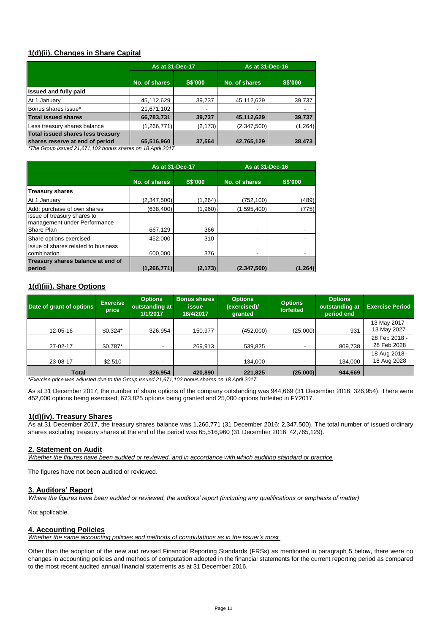# **1(d)(ii). Changes in Share Capital**

|                                   |                                 | As at 31-Dec-17 | As at 31-Dec-16 |                |  |
|-----------------------------------|---------------------------------|-----------------|-----------------|----------------|--|
|                                   | <b>S\$'000</b><br>No. of shares |                 | No. of shares   | <b>S\$'000</b> |  |
| <b>Issued and fully paid</b>      |                                 |                 |                 |                |  |
| At 1 January                      | 45,112,629                      | 39,737          | 45,112,629      | 39,737         |  |
| Bonus shares issue*               | 21,671,102                      | ٠               |                 |                |  |
| <b>Total issued shares</b>        | 66,783,731                      | 39,737          | 45,112,629      | 39,737         |  |
| Less treasury shares balance      | (1,266,771)                     | (2, 173)        | (2,347,500)     | (1, 264)       |  |
| Total issued shares less treasury |                                 |                 |                 |                |  |
| shares reserve at end of period   | 65,516,960<br>$\sqrt{2}$        | 37,564          | 42,765,129      | 38,473         |  |

*\*The Group issued 21,671,102 bonus shares on 18 April 2017.* 

|                                                             | <b>As at 31-Dec-17</b> |                | As at 31-Dec-16 |                |  |
|-------------------------------------------------------------|------------------------|----------------|-----------------|----------------|--|
|                                                             | No. of shares          | <b>S\$'000</b> | No. of shares   | <b>S\$'000</b> |  |
| <b>Treasury shares</b>                                      |                        |                |                 |                |  |
| At 1 January                                                | (2,347,500)            | (1, 264)       | (752,100)       | (489)          |  |
| Add: purchase of own shares                                 | (638, 400)             | (1,960)        | (1,595,400)     | (775)          |  |
| Issue of treasury shares to<br>management under Performance |                        |                |                 |                |  |
| Share Plan                                                  | 667,129                | 366            |                 |                |  |
| Share options exercised                                     | 452.000                | 310            |                 |                |  |
| Issue of shares related to business<br>combination          | 600.000                | 376            | -               |                |  |
| Treasury shares balance at end of                           |                        |                |                 |                |  |
| period                                                      | (1,266,771)            | (2, 173)       | (2,347,500)     | (1,264)        |  |

## **1(d)(iii). Share Options**

| Date of grant of options                                                                                                                                                                                                                    | <b>Exercise</b><br>price | <b>Options</b><br>outstanding at<br>1/1/2017 | <b>Bonus shares</b><br>issue<br>18/4/2017 | <b>Options</b><br>(exercised)/<br>granted | <b>Options</b><br>forfeited | <b>Options</b><br>outstanding at<br>period end | <b>Exercise Period</b> |
|---------------------------------------------------------------------------------------------------------------------------------------------------------------------------------------------------------------------------------------------|--------------------------|----------------------------------------------|-------------------------------------------|-------------------------------------------|-----------------------------|------------------------------------------------|------------------------|
|                                                                                                                                                                                                                                             |                          |                                              |                                           |                                           |                             |                                                | 13 May 2017 -          |
| 12-05-16                                                                                                                                                                                                                                    | $$0.324*$                | 326,954                                      | 150,977                                   | (452,000)                                 | (25,000)                    | 931                                            | 13 May 2027            |
|                                                                                                                                                                                                                                             |                          |                                              |                                           |                                           |                             |                                                | 28 Feb 2018 -          |
| 27-02-17                                                                                                                                                                                                                                    | \$0.787*                 |                                              | 269,913                                   | 539,825                                   |                             | 809.738                                        | 28 Feb 2028            |
|                                                                                                                                                                                                                                             |                          |                                              |                                           |                                           |                             |                                                | 18 Aug 2018 -          |
| 23-08-17                                                                                                                                                                                                                                    | \$2.510                  | -                                            |                                           | 134,000                                   |                             | 134,000                                        | 18 Aug 2028            |
| Total<br>$\bullet$ . The state of the state of the state of the state of the state of the state of the state of the state of the state of the state of the state of the state of the state of the state of the state of the state of the st |                          | 326.954                                      | 420.890                                   | 221,825<br>$\sqrt{2}$                     | (25,000)                    | 944,669                                        |                        |

*\*Exercise price was adjusted due to the Group issued 21,671,102 bonus shares on 18 April 2017.*

As at 31 December 2017, the number of share options of the company outstanding was 944,669 (31 December 2016: 326,954). There were 452,000 options being exercised, 673,825 options being granted and 25,000 options forfeited in FY2017.

### **1(d)(iv). Treasury Shares**

As at 31 December 2017, the treasury shares balance was 1,266,771 (31 December 2016: 2,347,500). The total number of issued ordinary shares excluding treasury shares at the end of the period was 65,516,960 (31 December 2016: 42,765,129).

### **2. Statement on Audit**

*Whether the figures have been audited or reviewed, and in accordance with which auditing standard or practice*

The figures have not been audited or reviewed.

### **3. Auditors' Report**

*Where the figures have been audited or reviewed, the auditors' report (including any qualifications or emphasis of matter)*

Not applicable.

### **4. Accounting Policies**

*Whether the same accounting policies and methods of computations as in the issuer's most* 

Other than the adoption of the new and revised Financial Reporting Standards (FRSs) as mentioned in paragraph 5 below, there were no changes in accounting policies and methods of computation adopted in the financial statements for the current reporting period as compared to the most recent audited annual financial statements as at 31 December 2016.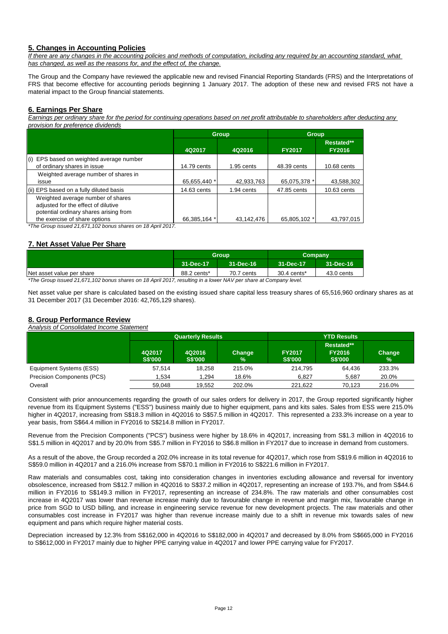# **5. Changes in Accounting Policies**

*If there are any changes in the accounting policies and methods of computation, including any required by an accounting standard, what has changed, as well as the reasons for, and the effect of, the change.*

The Group and the Company have reviewed the applicable new and revised Financial Reporting Standards (FRS) and the Interpretations of FRS that become effective for accounting periods beginning 1 January 2017. The adoption of these new and revised FRS not have a material impact to the Group financial statements.

## **6. Earnings Per Share**

*Earnings per ordinary share for the period for continuing operations based on net profit attributable to shareholders after deducting any provision for preference dividends*

|                                                                                                                    |              | <b>Group</b> | <b>Group</b>  |                             |
|--------------------------------------------------------------------------------------------------------------------|--------------|--------------|---------------|-----------------------------|
|                                                                                                                    | 4Q2017       | 4Q2016       | <b>FY2017</b> | Restated**<br><b>FY2016</b> |
| (i) EPS based on weighted average number<br>of ordinary shares in issue                                            | 14.79 cents  | $1.95$ cents | 48.39 cents   | 10.68 cents                 |
| Weighted average number of shares in<br>issue                                                                      | 65,655,440 * | 42,933,763   | 65,075,378 *  | 43,588,302                  |
| (ii) EPS based on a fully diluted basis                                                                            | 14.63 cents  | 1.94 cents   | 47.85 cents   | 10.63 cents                 |
| Weighted average number of shares<br>adjusted for the effect of dilutive<br>potential ordinary shares arising from |              |              |               |                             |
| the exercise of share options                                                                                      | 66.385.164 * | 43.142.476   | 65.805.102 *  | 43.797.015                  |

*\*The Group issued 21,671,102 bonus shares on 18 April 2017.* 

# **7. Net Asset Value Per Share**

|                           |             | Group      | Company     |            |
|---------------------------|-------------|------------|-------------|------------|
|                           | 31-Dec-17   | 31-Dec-16  | 31-Dec-17   | 31-Dec-16  |
| Net asset value per share | 88.2 cents* | 70.7 cents | 30.4 cents* | 43.0 cents |

*\*The Group issued 21,671,102 bonus shares on 18 April 2017, resulting in a lower NAV per share at Company level.*

Net asset value per share is calculated based on the existing issued share capital less treasury shares of 65,516,960 ordinary shares as at 31 December 2017 (31 December 2016: 42,765,129 shares).

#### **8. Group Performance Review** *Analysis of Consolidated Income Statement*

|                            |                          | <b>Quarterly Results</b> |             | <b>YTD Results</b>              |                                               |             |  |
|----------------------------|--------------------------|--------------------------|-------------|---------------------------------|-----------------------------------------------|-------------|--|
|                            | 4Q2017<br><b>S\$'000</b> | 4Q2016<br><b>S\$'000</b> | Change<br>℅ | <b>FY2017</b><br><b>S\$'000</b> | Restated**<br><b>FY2016</b><br><b>S\$'000</b> | Change<br>% |  |
| Equipment Systems (ESS)    | 57.514                   | 18.258                   | 215.0%      | 214.795                         | 64.436                                        | 233.3%      |  |
| Precision Components (PCS) | 1.534                    | 1.294                    | 18.6%       | 6.827                           | 5.687                                         | 20.0%       |  |
| Overall                    | 59.048                   | 19.552                   | 202.0%      | 221.622                         | 70.123                                        | 216.0%      |  |

Consistent with prior announcements regarding the growth of our sales orders for delivery in 2017, the Group reported significantly higher revenue from its Equipment Systems ("ESS") business mainly due to higher equipment, pans and kits sales. Sales from ESS were 215.0% higher in 4Q2017, increasing from S\$18.3 million in 4Q2016 to S\$57.5 million in 4Q2017. This represented a 233.3% increase on a year to year basis, from S\$64.4 million in FY2016 to S\$214.8 million in FY2017.

Revenue from the Precision Components ("PCS") business were higher by 18.6% in 4Q2017, increasing from S\$1.3 million in 4Q2016 to S\$1.5 million in 4Q2017 and by 20.0% from S\$5.7 million in FY2016 to S\$6.8 million in FY2017 due to increase in demand from customers.

As a result of the above, the Group recorded a 202.0% increase in its total revenue for 4Q2017, which rose from S\$19.6 million in 4Q2016 to S\$59.0 million in 4Q2017 and a 216.0% increase from S\$70.1 million in FY2016 to S\$221.6 million in FY2017.

Raw materials and consumables cost, taking into consideration changes in inventories excluding allowance and reversal for inventory obsolescence, increased from S\$12.7 million in 4Q2016 to S\$37.2 million in 4Q2017, representing an increase of 193.7%, and from S\$44.6 million in FY2016 to S\$149.3 million in FY2017, representing an increase of 234.8%. The raw materials and other consumables cost increase in 4Q2017 was lower than revenue increase mainly due to favourable change in revenue and margin mix, favourable change in price from SGD to USD billing, and increase in engineering service revenue for new development projects. The raw materials and other consumables cost increase in FY2017 was higher than revenue increase mainly due to a shift in revenue mix towards sales of new equipment and pans which require higher material costs.

Depreciation increased by 12.3% from S\$162,000 in 4Q2016 to S\$182,000 in 4Q2017 and decreased by 8.0% from S\$665,000 in FY2016 to S\$612,000 in FY2017 mainly due to higher PPE carrying value in 4Q2017 and lower PPE carrying value for FY2017.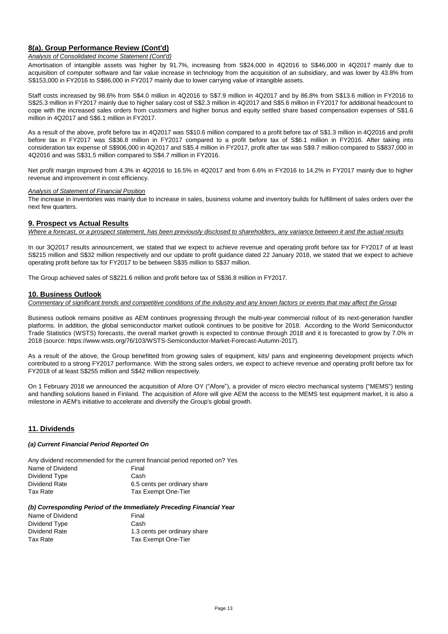# **8(a). Group Performance Review (Cont'd)**

### *Analysis of Consolidated Income Statement (Cont'd)*

Amortisation of intangible assets was higher by 91.7%, increasing from S\$24,000 in 4Q2016 to S\$46,000 in 4Q2017 mainly due to acquisition of computer software and fair value increase in technology from the acquisition of an subsidiary, and was lower by 43.8% from S\$153,000 in FY2016 to S\$86,000 in FY2017 mainly due to lower carrying value of intangible assets.

Staff costs increased by 98.6% from S\$4.0 million in 4Q2016 to S\$7.9 million in 4Q2017 and by 86.8% from S\$13.6 million in FY2016 to S\$25.3 million in FY2017 mainly due to higher salary cost of S\$2.3 million in 4Q2017 and S\$5.6 million in FY2017 for additional headcount to cope with the increased sales orders from customers and higher bonus and equity settled share based compensation expenses of S\$1.6 million in 4Q2017 and S\$6.1 million in FY2017.

As a result of the above, profit before tax in 4Q2017 was S\$10.6 million compared to a profit before tax of S\$1.3 million in 4Q2016 and profit before tax in FY2017 was S\$36.8 million in FY2017 compared to a profit before tax of S\$6.1 million in FY2016. After taking into consideration tax expense of S\$906,000 in 4Q2017 and S\$5.4 million in FY2017, profit after tax was S\$9.7 million compared to S\$837,000 in 4Q2016 and was S\$31.5 million compared to S\$4.7 million in FY2016.

Net profit margin improved from 4.3% in 4Q2016 to 16.5% in 4Q2017 and from 6.6% in FY2016 to 14.2% in FY2017 mainly due to higher revenue and improvement in cost efficiency.

### *Analysis of Statement of Financial Position*

The increase in inventories was mainly due to increase in sales, business volume and inventory builds for fulfillment of sales orders over the next few quarters.

### **9. Prospect vs Actual Results**

*Where a forecast, or a prospect statement, has been previously disclosed to shareholders, any variance between it and the actual results*

In our 3Q2017 results announcement, we stated that we expect to achieve revenue and operating profit before tax for FY2017 of at least S\$215 million and S\$32 million respectively and our update to profit guidance dated 22 January 2018, we stated that we expect to achieve operating profit before tax for FY2017 to be between S\$35 million to S\$37 million.

The Group achieved sales of S\$221.6 million and profit before tax of S\$36.8 million in FY2017.

### **10. Business Outlook**

*Commentary of significant trends and competitive conditions of the industry and any known factors or events that may affect the Group*

Business outlook remains positive as AEM continues progressing through the multi-year commercial rollout of its next-generation handler platforms. In addition, the global semiconductor market outlook continues to be positive for 2018. According to the World Semiconductor Trade Statistics (WSTS) forecasts, the overall market growth is expected to continue through 2018 and it is forecasted to grow by 7.0% in 2018 (source: https://www.wsts.org/76/103/WSTS-Semiconductor-Market-Forecast-Autumn-2017).

As a result of the above, the Group benefitted from growing sales of equipment, kits/ pans and engineering development projects which contributed to a strong FY2017 performance. With the strong sales orders, we expect to achieve revenue and operating profit before tax for FY2018 of at least S\$255 million and S\$42 million respectively.

On 1 February 2018 we announced the acquisition of Afore OY ("Afore"), a provider of micro electro mechanical systems ("MEMS") testing and handling solutions based in Finland. The acquisition of Afore will give AEM the access to the MEMS test equipment market, it is also a milestone in AEM's initiative to accelerate and diversify the Group's global growth.

### **11. Dividends**

### *(a) Current Financial Period Reported On*

Any dividend recommended for the current financial period reported on? Yes Name of Dividend Final

| Dividend Type | Cash                         |
|---------------|------------------------------|
| Dividend Rate | 6.5 cents per ordinary share |
| Tax Rate      | Tax Exempt One-Tier          |

### *(b) Corresponding Period of the Immediately Preceding Financial Year*

| Name of Dividend | Final                        |
|------------------|------------------------------|
| Dividend Type    | Cash                         |
| Dividend Rate    | 1.3 cents per ordinary share |
| Tax Rate         | Tax Exempt One-Tier          |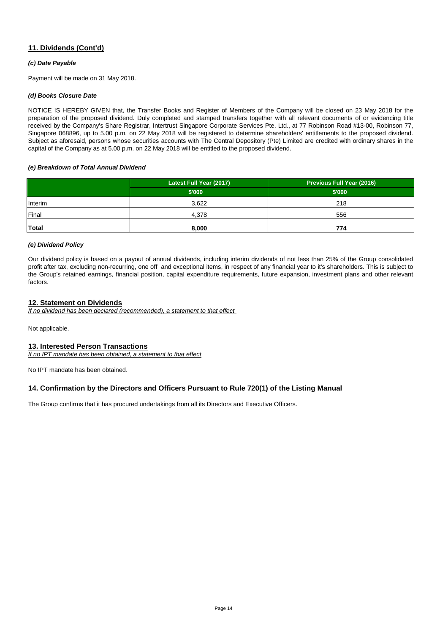# **11. Dividends (Cont'd)**

### *(c) Date Payable*

Payment will be made on 31 May 2018.

### *(d) Books Closure Date*

NOTICE IS HEREBY GIVEN that, the Transfer Books and Register of Members of the Company will be closed on 23 May 2018 for the preparation of the proposed dividend. Duly completed and stamped transfers together with all relevant documents of or evidencing title received by the Company's Share Registrar, Intertrust Singapore Corporate Services Pte. Ltd., at 77 Robinson Road #13-00, Robinson 77, Singapore 068896, up to 5.00 p.m. on 22 May 2018 will be registered to determine shareholders' entitlements to the proposed dividend. Subject as aforesaid, persons whose securities accounts with The Central Depository (Pte) Limited are credited with ordinary shares in the capital of the Company as at 5.00 p.m. on 22 May 2018 will be entitled to the proposed dividend.

### *(e) Breakdown of Total Annual Dividend*

|              | Latest Full Year (2017) | <b>Previous Full Year (2016)</b> |
|--------------|-------------------------|----------------------------------|
|              | \$'000                  | \$'000                           |
| Interim      | 3,622                   | 218                              |
| Final        | 4,378                   | 556                              |
| <b>Total</b> | 8,000                   | 774                              |

### *(e) Dividend Policy*

Our dividend policy is based on a payout of annual dividends, including interim dividends of not less than 25% of the Group consolidated profit after tax, excluding non-recurring, one off and exceptional items, in respect of any financial year to it's shareholders. This is subject to the Group's retained earnings, financial position, capital expenditure requirements, future expansion, investment plans and other relevant factors.

## **12. Statement on Dividends**

*If no dividend has been declared (recommended), a statement to that effect* 

Not applicable.

## **13. Interested Person Transactions**

*If no IPT mandate has been obtained, a statement to that effect*

No IPT mandate has been obtained.

## **14. Confirmation by the Directors and Officers Pursuant to Rule 720(1) of the Listing Manual**

The Group confirms that it has procured undertakings from all its Directors and Executive Officers.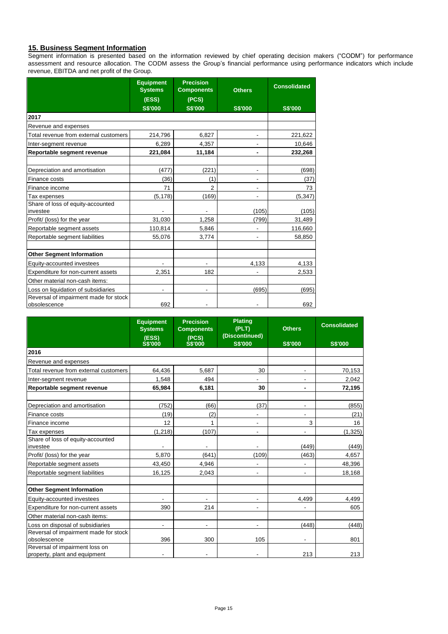# **15. Business Segment Information**

Segment information is presented based on the information reviewed by chief operating decision makers ("CODM") for performance assessment and resource allocation. The CODM assess the Group's financial performance using performance indicators which include revenue, EBITDA and net profit of the Group.

|                                                       | <b>Equipment</b><br><b>Precision</b><br><b>Systems</b><br><b>Components</b> |                          | <b>Others</b>            | <b>Consolidated</b> |
|-------------------------------------------------------|-----------------------------------------------------------------------------|--------------------------|--------------------------|---------------------|
|                                                       | (ESS)                                                                       | (PCS)                    |                          |                     |
|                                                       | <b>S\$'000</b>                                                              | <b>S\$'000</b>           | <b>S\$'000</b>           | <b>S\$'000</b>      |
| 2017                                                  |                                                                             |                          |                          |                     |
| Revenue and expenses                                  |                                                                             |                          |                          |                     |
| Total revenue from external customers                 | 214,796                                                                     | 6,827                    | -                        | 221,622             |
| Inter-segment revenue                                 | 6,289                                                                       | 4,357                    |                          | 10,646              |
| Reportable segment revenue                            | 221,084                                                                     | 11,184                   | -                        | 232,268             |
|                                                       |                                                                             |                          |                          |                     |
| Depreciation and amortisation                         | (477)                                                                       | (221)                    | $\overline{\phantom{a}}$ | (698)               |
| Finance costs                                         | (36)                                                                        | (1)                      |                          | (37)                |
| Finance income                                        | 71                                                                          | $\mathfrak{p}$           | $\overline{a}$           | 73                  |
| Tax expenses                                          | (5, 178)                                                                    | (169)                    | ٠                        | (5, 347)            |
| Share of loss of equity-accounted                     |                                                                             |                          |                          |                     |
| investee                                              |                                                                             | -                        | (105)                    | (105)               |
| Profit/ (loss) for the year                           | 31,030                                                                      | 1,258                    | (799)                    | 31,489              |
| Reportable segment assets                             | 110,814                                                                     | 5,846                    | $\overline{a}$           | 116,660             |
| Reportable segment liabilities                        | 55,076                                                                      | 3,774                    |                          | 58,850              |
|                                                       |                                                                             |                          |                          |                     |
| <b>Other Segment Information</b>                      |                                                                             |                          |                          |                     |
| Equity-accounted investees                            |                                                                             |                          | 4,133                    | 4,133               |
| Expenditure for non-current assets                    | 2,351                                                                       | 182                      |                          | 2,533               |
| Other material non-cash items:                        |                                                                             |                          |                          |                     |
| Loss on liquidation of subsidiaries                   |                                                                             | $\overline{\phantom{a}}$ | (695)                    | (695)               |
| Reversal of impairment made for stock<br>obsolescence | 692                                                                         |                          |                          | 692                 |

|                                                                 | <b>Equipment</b><br><b>Systems</b><br>(ESS)<br><b>S\$'000</b> | <b>Precision</b><br><b>Components</b><br>(PCS)<br><b>S\$'000</b> | <b>Plating</b><br>(PLT)<br>(Discontinued)<br><b>S\$'000</b> | <b>Others</b><br><b>S\$'000</b> | <b>Consolidated</b><br><b>S\$'000</b> |
|-----------------------------------------------------------------|---------------------------------------------------------------|------------------------------------------------------------------|-------------------------------------------------------------|---------------------------------|---------------------------------------|
| 2016                                                            |                                                               |                                                                  |                                                             |                                 |                                       |
| Revenue and expenses                                            |                                                               |                                                                  |                                                             |                                 |                                       |
| Total revenue from external customers                           | 64,436                                                        | 5,687                                                            | 30                                                          |                                 | 70,153                                |
| Inter-segment revenue                                           | 1.548                                                         | 494                                                              |                                                             |                                 | 2,042                                 |
| Reportable segment revenue                                      | 65,984                                                        | 6,181                                                            | 30                                                          | $\blacksquare$                  | 72,195                                |
| Depreciation and amortisation                                   | (752)                                                         | (66)                                                             | (37)                                                        | $\overline{\phantom{a}}$        | (855)                                 |
| Finance costs                                                   | (19)                                                          | (2)                                                              | ٠                                                           | $\overline{a}$                  | (21)                                  |
| Finance income                                                  | 12                                                            | 1                                                                | $\blacksquare$                                              | 3                               | 16                                    |
| Tax expenses                                                    | (1, 218)                                                      | (107)                                                            | $\overline{\phantom{a}}$                                    |                                 | (1, 325)                              |
| Share of loss of equity-accounted<br>investee                   |                                                               | $\overline{\phantom{a}}$                                         | $\overline{\phantom{a}}$                                    | (449)                           | (449)                                 |
| Profit/ (loss) for the year                                     | 5,870                                                         | (641)                                                            | (109)                                                       | (463)                           | 4,657                                 |
| Reportable segment assets                                       | 43,450                                                        | 4,946                                                            | ÷,                                                          |                                 | 48,396                                |
| Reportable segment liabilities                                  | 16,125                                                        | 2,043                                                            | $\overline{\phantom{a}}$                                    | ٠                               | 18,168                                |
| <b>Other Segment Information</b>                                |                                                               |                                                                  |                                                             |                                 |                                       |
| Equity-accounted investees                                      |                                                               | $\overline{\phantom{a}}$                                         | ٠                                                           | 4,499                           | 4,499                                 |
| Expenditure for non-current assets                              | 390                                                           | 214                                                              | $\overline{\phantom{a}}$                                    |                                 | 605                                   |
| Other material non-cash items:                                  |                                                               |                                                                  |                                                             |                                 |                                       |
| Loss on disposal of subsidiaries                                | $\overline{\phantom{0}}$                                      | $\overline{\phantom{a}}$                                         | ٠                                                           | (448)                           | (448)                                 |
| Reversal of impairment made for stock<br>obsolescence           | 396                                                           | 300                                                              | 105                                                         |                                 | 801                                   |
| Reversal of impairment loss on<br>property, plant and equipment | $\overline{\phantom{0}}$                                      |                                                                  |                                                             | 213                             | 213                                   |